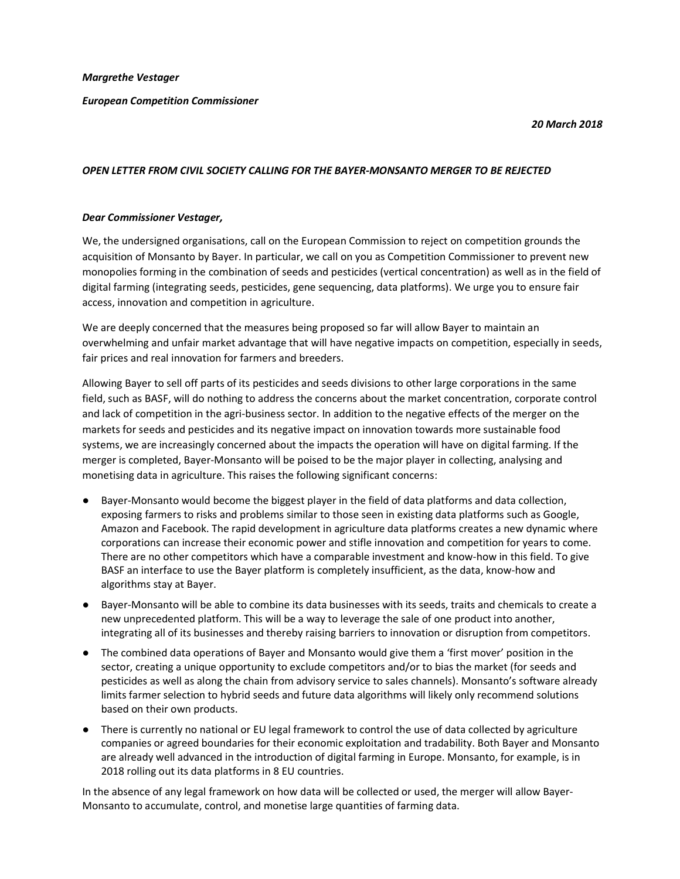## European Competition Commissioner

### 20 March 2018

# OPEN LETTER FROM CIVIL SOCIETY CALLING FOR THE BAYER-MONSANTO MERGER TO BE REJECTED

## Dear Commissioner Vestager,

We, the undersigned organisations, call on the European Commission to reject on competition grounds the acquisition of Monsanto by Bayer. In particular, we call on you as Competition Commissioner to prevent new monopolies forming in the combination of seeds and pesticides (vertical concentration) as well as in the field of digital farming (integrating seeds, pesticides, gene sequencing, data platforms). We urge you to ensure fair access, innovation and competition in agriculture.

We are deeply concerned that the measures being proposed so far will allow Bayer to maintain an overwhelming and unfair market advantage that will have negative impacts on competition, especially in seeds, fair prices and real innovation for farmers and breeders.

Allowing Bayer to sell off parts of its pesticides and seeds divisions to other large corporations in the same field, such as BASF, will do nothing to address the concerns about the market concentration, corporate control and lack of competition in the agri-business sector. In addition to the negative effects of the merger on the markets for seeds and pesticides and its negative impact on innovation towards more sustainable food systems, we are increasingly concerned about the impacts the operation will have on digital farming. If the merger is completed, Bayer-Monsanto will be poised to be the major player in collecting, analysing and monetising data in agriculture. This raises the following significant concerns:

- Bayer-Monsanto would become the biggest player in the field of data platforms and data collection, exposing farmers to risks and problems similar to those seen in existing data platforms such as Google, Amazon and Facebook. The rapid development in agriculture data platforms creates a new dynamic where corporations can increase their economic power and stifle innovation and competition for years to come. There are no other competitors which have a comparable investment and know-how in this field. To give BASF an interface to use the Bayer platform is completely insufficient, as the data, know-how and algorithms stay at Bayer.
- Bayer-Monsanto will be able to combine its data businesses with its seeds, traits and chemicals to create a new unprecedented platform. This will be a way to leverage the sale of one product into another, integrating all of its businesses and thereby raising barriers to innovation or disruption from competitors.
- The combined data operations of Bayer and Monsanto would give them a 'first mover' position in the sector, creating a unique opportunity to exclude competitors and/or to bias the market (for seeds and pesticides as well as along the chain from advisory service to sales channels). Monsanto's software already limits farmer selection to hybrid seeds and future data algorithms will likely only recommend solutions based on their own products.
- There is currently no national or EU legal framework to control the use of data collected by agriculture companies or agreed boundaries for their economic exploitation and tradability. Both Bayer and Monsanto are already well advanced in the introduction of digital farming in Europe. Monsanto, for example, is in 2018 rolling out its data platforms in 8 EU countries.

In the absence of any legal framework on how data will be collected or used, the merger will allow Bayer-Monsanto to accumulate, control, and monetise large quantities of farming data.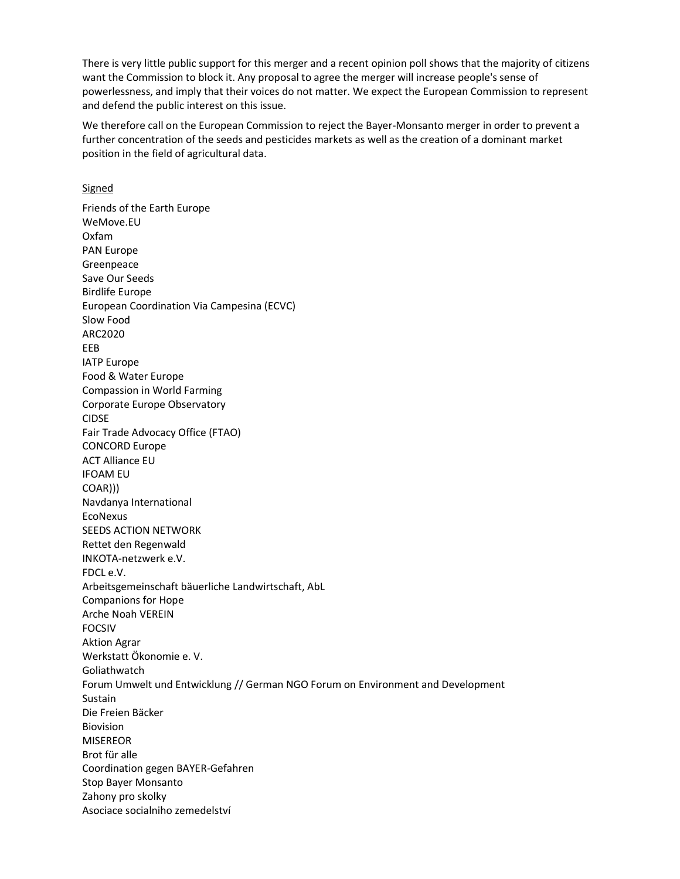There is very little public support for this merger and a recent opinion poll shows that the majority of citizens want the Commission to block it. Any proposal to agree the merger will increase people's sense of powerlessness, and imply that their voices do not matter. We expect the European Commission to represent and defend the public interest on this issue.

We therefore call on the European Commission to reject the Bayer-Monsanto merger in order to prevent a further concentration of the seeds and pesticides markets as well as the creation of a dominant market position in the field of agricultural data.

### **Signed**

Friends of the Earth Europe WeMove.EU Oxfam PAN Europe Greenpeace Save Our Seeds Birdlife Europe European Coordination Via Campesina (ECVC) Slow Food ARC2020 EEB IATP Europe Food & Water Europe Compassion in World Farming Corporate Europe Observatory CIDSE Fair Trade Advocacy Office (FTAO) CONCORD Europe ACT Alliance EU IFOAM EU COAR))) Navdanya International EcoNexus SEEDS ACTION NETWORK Rettet den Regenwald INKOTA-netzwerk e.V. FDCL e.V. Arbeitsgemeinschaft bäuerliche Landwirtschaft, AbL Companions for Hope Arche Noah VEREIN FOCSIV Aktion Agrar Werkstatt Ökonomie e. V. Goliathwatch Forum Umwelt und Entwicklung // German NGO Forum on Environment and Development Sustain Die Freien Bäcker Biovision **MISEREOR** Brot für alle Coordination gegen BAYER-Gefahren Stop Bayer Monsanto Zahony pro skolky Asociace socialniho zemedelství